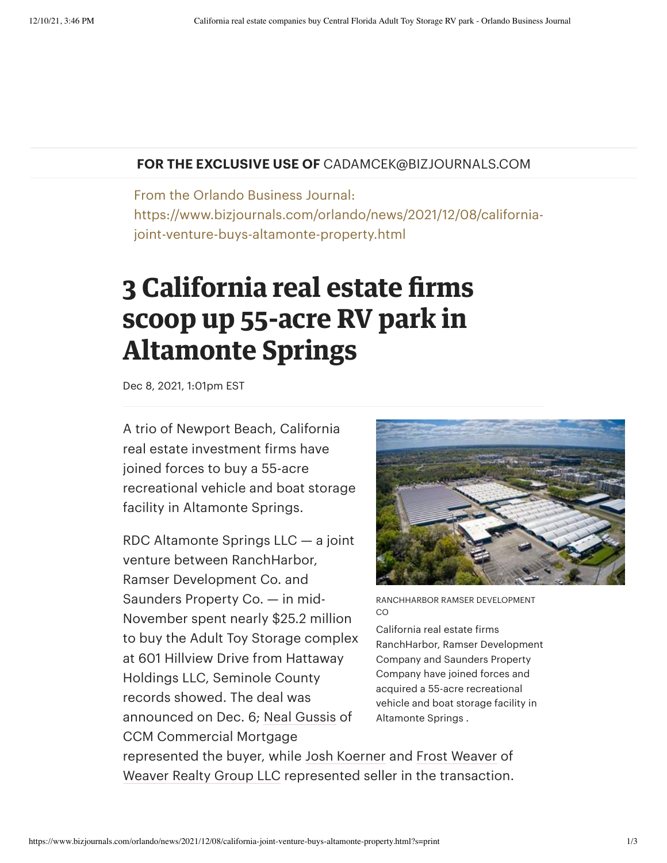## **FOR THE EXCLUSIVE USE OF** CADAMCEK@BIZJOURNALS.COM

From the Orlando Business Journal: https://www.bizjournals.com/orlando/news/2021/12/08/californiajoint-venture-buys-altamonte-property.html

## **3 California real estate firms scoop up 55-acre RV park in Altamonte Springs**

Dec 8, 2021, 1:01pm EST

A trio of Newport Beach, California real estate investment firms have joined forces to buy a 55-acre recreational vehicle and boat storage facility in Altamonte Springs.

RDC Altamonte Springs LLC — a joint venture between RanchHarbor, Ramser Development Co. and Saunders Property Co. — in mid-November spent nearly \$25.2 million to buy the Adult Toy Storage complex at 601 Hillview Drive from Hattaway Holdings LLC, Seminole County records showed. The deal was announced on Dec. 6; Neal [Gussis](https://www.bizjournals.com/orlando/search/results?q=Neal%20Gussis) of CCM Commercial Mortgage



RANCHHARBOR RAMSER DEVELOPMENT CO

California real estate firms RanchHarbor, Ramser Development Company and Saunders Property Company have joined forces and acquired a 55-acre recreational vehicle and boat storage facility in Altamonte Springs .

represented the buyer, while Josh [Koerner](https://www.bizjournals.com/orlando/search/results?q=Josh%20Koerner) and Frost [Weaver](https://www.bizjournals.com/orlando/search/results?q=Frost%20Weaver) of [Weaver](https://www.bizjournals.com/profile/company/org_mv_504099) Realty Group LLC represented seller in the transaction.